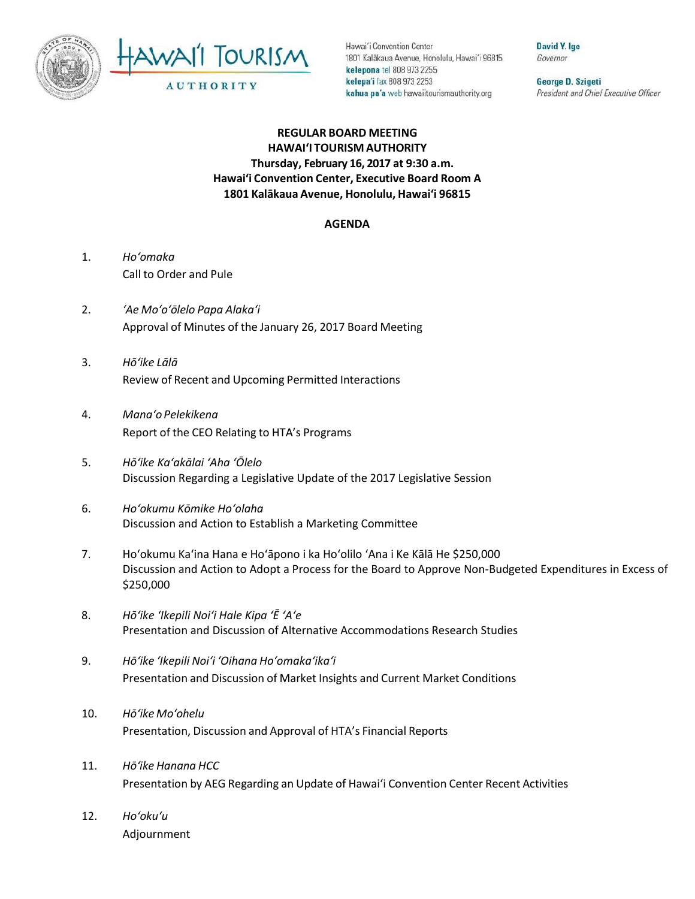



Hawai'i Convention Center 1801 Kalakaua Avenue, Honolulu, Hawai'i 96815 kelepona tel 808 973 2255 kelepa'i fax 808 973 2253 kahua pa'a web hawaiitourismauthority.org

David Y. Ige Governor

George D. Szigeti President and Chief Executive Officer

## **REGULAR BOARD MEETING HAWAI'I TOURISM AUTHORITY Thursday, February 16, 2017 at 9:30 a.m. Hawai'i Convention Center, Executive Board Room A 1801 Kalākaua Avenue, Honolulu, Hawai'i 96815**

## **AGENDA**

- 1. *Ho'omaka* Call to Order and Pule
- 2. *'Ae Mo'o'ōlelo Papa Alaka'i* Approval of Minutes of the January 26, 2017 Board Meeting
- 3. *Hō'ike Lālā* Review of Recent and Upcoming Permitted Interactions
- 4. *Mana'o Pelekikena* Report of the CEO Relating to HTA's Programs
- 5. *Hō'ike Ka'akālai 'Aha 'Ōlelo*  Discussion Regarding a Legislative Update of the 2017 Legislative Session
- 6. *Ho'okumu Kōmike Ho'olaha*  Discussion and Action to Establish a Marketing Committee
- 7. Ho'okumu Ka'ina Hana e Hoʻāpono i ka Ho'olilo 'Ana i Ke Kālā He \$250,000 Discussion and Action to Adopt a Process for the Board to Approve Non-Budgeted Expenditures in Excess of \$250,000
- 8. *Hō'ike 'Ikepili Noi'i Hale Kipa 'Ē 'A'e* Presentation and Discussion of Alternative Accommodations Research Studies
- 9. *Hō'ike 'Ikepili Noi'i 'Oihana Ho'omaka'ika'i* Presentation and Discussion of Market Insights and Current Market Conditions
- 10. *Hō'ike Mo'ohelu* Presentation, Discussion and Approval of HTA's Financial Reports
- 11. *Hōʻike Hanana HCC* Presentation by AEG Regarding an Update of Hawai'i Convention Center Recent Activities
- 12. *Ho'oku'u* Adjournment